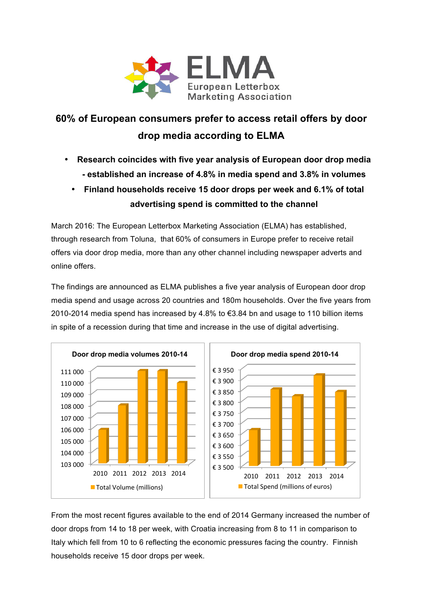

## **60% of European consumers prefer to access retail offers by door drop media according to ELMA**

- **Research coincides with five year analysis of European door drop media - established an increase of 4.8% in media spend and 3.8% in volumes** 
	- **Finland households receive 15 door drops per week and 6.1% of total advertising spend is committed to the channel**

March 2016: The European Letterbox Marketing Association (ELMA) has established, through research from Toluna, that 60% of consumers in Europe prefer to receive retail offers via door drop media, more than any other channel including newspaper adverts and online offers.

The findings are announced as ELMA publishes a five year analysis of European door drop media spend and usage across 20 countries and 180m households. Over the five years from 2010-2014 media spend has increased by 4.8% to €3.84 bn and usage to 110 billion items in spite of a recession during that time and increase in the use of digital advertising.





From the most recent figures available to the end of 2014 Germany increased the number of door drops from 14 to 18 per week, with Croatia increasing from 8 to 11 in comparison to Italy which fell from 10 to 6 reflecting the economic pressures facing the country. Finnish households receive 15 door drops per week.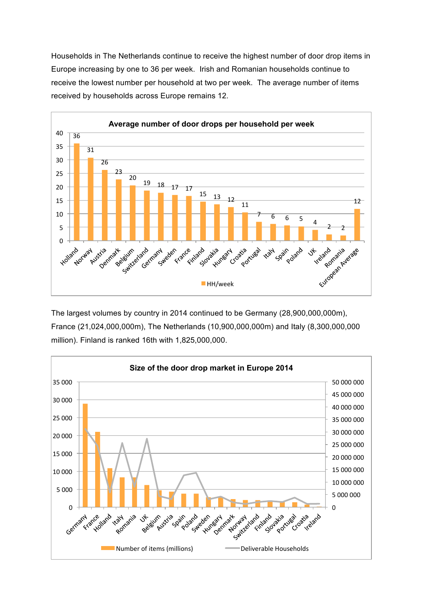Households in The Netherlands continue to receive the highest number of door drop items in Europe increasing by one to 36 per week. Irish and Romanian households continue to receive the lowest number per household at two per week. The average number of items received by households across Europe remains 12.



The largest volumes by country in 2014 continued to be Germany (28,900,000,000m), France (21,024,000,000m), The Netherlands (10,900,000,000m) and Italy (8,300,000,000 million). Finland is ranked 16th with 1,825,000,000.

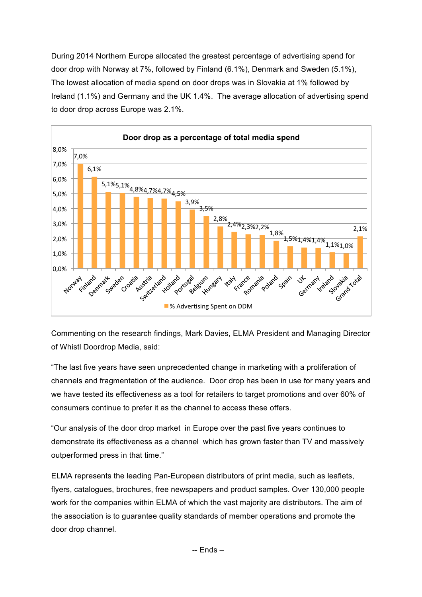During 2014 Northern Europe allocated the greatest percentage of advertising spend for door drop with Norway at 7%, followed by Finland (6.1%), Denmark and Sweden (5.1%), The lowest allocation of media spend on door drops was in Slovakia at 1% followed by Ireland (1.1%) and Germany and the UK 1.4%. The average allocation of advertising spend to door drop across Europe was 2.1%.



Commenting on the research findings, Mark Davies, ELMA President and Managing Director of Whistl Doordrop Media, said:

"The last five years have seen unprecedented change in marketing with a proliferation of channels and fragmentation of the audience. Door drop has been in use for many years and we have tested its effectiveness as a tool for retailers to target promotions and over 60% of consumers continue to prefer it as the channel to access these offers.

"Our analysis of the door drop market in Europe over the past five years continues to demonstrate its effectiveness as a channel which has grown faster than TV and massively outperformed press in that time."

ELMA represents the leading Pan-European distributors of print media, such as leaflets, flyers, catalogues, brochures, free newspapers and product samples. Over 130,000 people work for the companies within ELMA of which the vast majority are distributors. The aim of the association is to guarantee quality standards of member operations and promote the door drop channel.